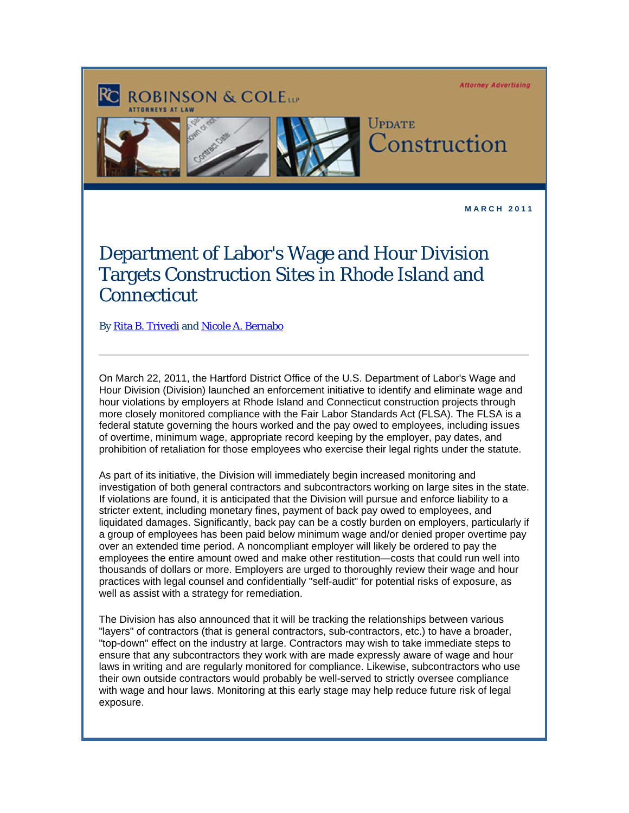**Attorney Advertising** 



**M A R C H 2 0 1 1** 

## Department of Labor's Wage and Hour Division Targets Construction Sites in Rhode Island and **Connecticut**

By Rita B. Trivedi and [Nicole A. Bernabo](http://www.rc.com/Bio.cfm?eID=1347)

**ROBINSON & COLETT** 

On March 22, 2011, the Hartford District Office of the U.S. Department of Labor's Wage and Hour Division (Division) launched an enforcement initiative to identify and eliminate wage and hour violations by employers at Rhode Island and Connecticut construction projects through more closely monitored compliance with the Fair Labor Standards Act (FLSA). The FLSA is a federal statute governing the hours worked and the pay owed to employees, including issues of overtime, minimum wage, appropriate record keeping by the employer, pay dates, and prohibition of retaliation for those employees who exercise their legal rights under the statute.

As part of its initiative, the Division will immediately begin increased monitoring and investigation of both general contractors and subcontractors working on large sites in the state. If violations are found, it is anticipated that the Division will pursue and enforce liability to a stricter extent, including monetary fines, payment of back pay owed to employees, and liquidated damages. Significantly, back pay can be a costly burden on employers, particularly if a group of employees has been paid below minimum wage and/or denied proper overtime pay over an extended time period. A noncompliant employer will likely be ordered to pay the employees the entire amount owed and make other restitution—costs that could run well into thousands of dollars or more. Employers are urged to thoroughly review their wage and hour practices with legal counsel and confidentially "self-audit" for potential risks of exposure, as well as assist with a strategy for remediation.

The Division has also announced that it will be tracking the relationships between various "layers" of contractors (that is general contractors, sub-contractors, etc.) to have a broader, "top-down" effect on the industry at large. Contractors may wish to take immediate steps to ensure that any subcontractors they work with are made expressly aware of wage and hour laws in writing and are regularly monitored for compliance. Likewise, subcontractors who use their own outside contractors would probably be well-served to strictly oversee compliance with wage and hour laws. Monitoring at this early stage may help reduce future risk of legal exposure.